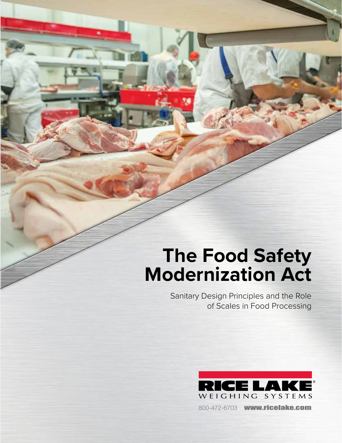# **The Food Safety Modernization Act**

Sanitary Design Principles and the Role of Scales in Food Processing



800-472-6703 www.ricelake.com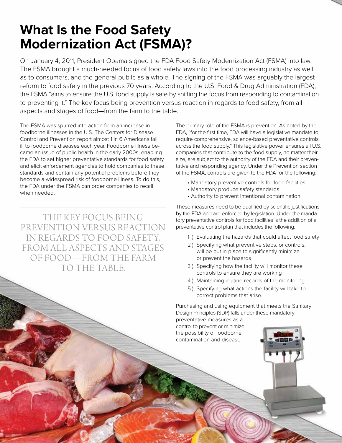## **What Is the Food Safety Modernization Act (FSMA)?**

On January 4, 2011, President Obama signed the FDA Food Safety Modernization Act (FSMA) into law. The FSMA brought a much-needed focus of food safety laws into the food processing industry as well as to consumers, and the general public as a whole. The signing of the FSMA was arguably the largest reform to food safety in the previous 70 years. According to the U.S. Food & Drug Administration (FDA), the FSMA "aims to ensure the U.S. food supply is safe by shifting the focus from responding to contamination to preventing it." The key focus being prevention versus reaction in regards to food safety, from all aspects and stages of food—from the farm to the table.

The FSMA was spurred into action from an increase in foodborne illnesses in the U.S. The Centers for Disease Control and Prevention report almost 1 in 6 Americans fall ill to foodborne diseases each year. Foodborne illness became an issue of public health in the early 2000s, enabling the FDA to set higher preventative standards for food safety and elicit enforcement agencies to hold companies to these standards and contain any potential problems before they become a widespread risk of foodborne illness. To do this, the FDA under the FSMA can order companies to recall when needed.

THE KEY FOCUS BEING PREVENTION VERSUS REACTION IN REGARDS TO FOOD SAFETY, FROM ALL ASPECTS AND STAGES OF FOOD—FROM THE FARM TO THE TABLE.

The primary role of the FSMA is prevention. As noted by the FDA, "for the first time, FDA will have a legislative mandate to require comprehensive, science-based preventative controls across the food supply." This legislative power ensures all U.S. companies that contribute to the food supply, no matter their size, are subject to the authority of the FDA and their preventative and responding agency. Under the Prevention section of the FSMA, controls are given to the FDA for the following:

- Mandatory preventive controls for food facilities
- Mandatory produce safety standards
- Authority to prevent intentional contamination

These measures need to be qualified by scientific justifications by the FDA and are enforced by legislation. Under the mandatory preventative controls for food facilities is the addition of a preventative control plan that includes the following:

- 1 ) Evaluating the hazards that could affect food safety
- 2 ) Specifying what preventive steps, or controls, will be put in place to significantly minimize or prevent the hazards
- 3 ) Specifying how the facility will monitor these controls to ensure they are working
- 4 ) Maintaining routine records of the monitoring
- 5 ) Specifying what actions the facility will take to correct problems that arise.

Purchasing and using equipment that meets the Sanitary Design Principles (SDP) falls under these mandatory

preventative measures as a control to prevent or minimize the possibility of foodborne contamination and disease.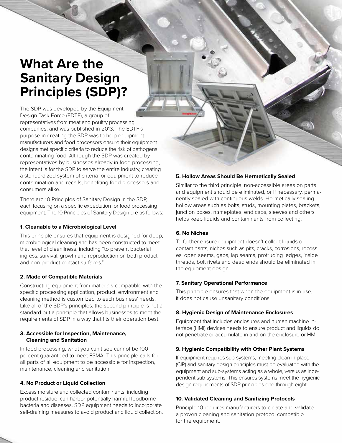### **What Are the Sanitary Design Principles (SDP)?**

The SDP was developed by the Equipment Design Task Force (EDTF), a group of representatives from meat and poultry processing companies, and was published in 2013. The EDTF's purpose in creating the SDP was to help equipment manufacturers and food processors ensure their equipment designs met specific criteria to reduce the risk of pathogens contaminating food. Although the SDP was created by representatives by businesses already in food processing, the intent is for the SDP to serve the entire industry, creating a standardized system of criteria for equipment to reduce contamination and recalls, benefiting food processors and consumers alike.

There are 10 Principles of Sanitary Design in the SDP, each focusing on a specific expectation for food processing equipment. The 10 Principles of Sanitary Design are as follows:

#### **1. Cleanable to a Microbiological Level**

This principle ensures that equipment is designed for deep, microbiological cleaning and has been constructed to meet that level of cleanliness, including "to prevent bacterial ingress, survival, growth and reproduction on both product and non-product contact surfaces."

#### **2. Made of Compatible Materials**

Constructing equipment from materials compatible with the specific processing application, product, environment and cleaning method is customized to each business' needs. Like all of the SDP's principles, the second principle is not a standard but a principle that allows businesses to meet the requirements of SDP in a way that fits their operation best.

#### **3. Accessible for Inspection, Maintenance, Cleaning and Sanitation**

In food processing, what you can't see cannot be 100 percent guaranteed to meet FSMA. This principle calls for all parts of all equipment to be accessible for inspection, maintenance, cleaning and sanitation.

#### **4. No Product or Liquid Collection**

Excess moisture and collected contaminants, including product residue, can harbor potentially harmful foodborne bacteria and diseases. SDP equipment needs to incorporate self-draining measures to avoid product and liquid collection.

#### **5. Hollow Areas Should Be Hermetically Sealed**

Similar to the third principle, non-accessible areas on parts and equipment should be eliminated, or if necessary, permanently sealed with continuous welds. Hermetically sealing hollow areas such as bolts, studs, mounting plates, brackets, junction boxes, nameplates, end caps, sleeves and others helps keep liquids and contaminants from collecting.

#### **6. No Niches**

To further ensure equipment doesn't collect liquids or contaminants, niches such as pits, cracks, corrosions, recesses, open seams, gaps, lap seams, protruding ledges, inside threads, bolt rivets and dead ends should be eliminated in the equipment design.

#### **7. Sanitary Operational Performance**

This principle ensures that when the equipment is in use, it does not cause unsanitary conditions.

#### **8. Hygienic Design of Maintenance Enclosures**

Equipment that includes enclosures and human machine interface (HMI) devices needs to ensure product and liquids do not penetrate or accumulate in and on the enclosure or HMI.

#### **9. Hygienic Compatibility with Other Plant Systems**

If equipment requires sub-systems, meeting clean in place (CIP) and sanitary design principles must be evaluated with the equipment and sub-systems acting as a whole, versus as independent sub-systems. This ensures systems meet the hygienic design requirements of SDP principles one through eight.

#### **10. Validated Cleaning and Sanitizing Protocols**

Principle 10 requires manufacturers to create and validate a proven cleaning and sanitation protocol compatible for the equipment.